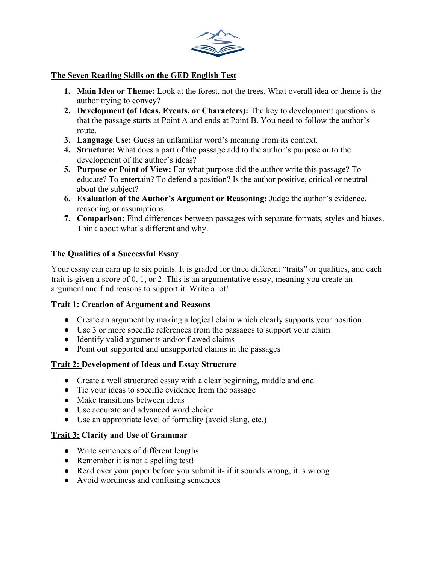

## **The Seven Reading Skills on the GED English Test**

- **1. Main Idea or Theme:** Look at the forest, not the trees. What overall idea or theme is the author trying to convey?
- **2. Development (of Ideas, Events, or Characters):** The key to development questions is that the passage starts at Point A and ends at Point B. You need to follow the author's route.
- **3. Language Use:** Guess an unfamiliar word's meaning from its context.
- **4. Structure:** What does a part of the passage add to the author's purpose or to the development of the author's ideas?
- **5. Purpose or Point of View:** For what purpose did the author write this passage? To educate? To entertain? To defend a position? Is the author positive, critical or neutral about the subject?
- **6. Evaluation of the Author's Argument or Reasoning:** Judge the author's evidence, reasoning or assumptions.
- **7. Comparison:** Find differences between passages with separate formats, styles and biases. Think about what's different and why.

### **The Qualities of a Successful Essay**

Your essay can earn up to six points. It is graded for three different "traits" or qualities, and each trait is given a score of 0, 1, or 2. This is an argumentative essay, meaning you create an argument and find reasons to support it. Write a lot!

#### **Trait 1: Creation of Argument and Reasons**

- **●** Create an argument by making a logical claim which clearly supports your position
- **●** Use 3 or more specific references from the passages to support your claim
- **●** Identify valid arguments and/or flawed claims
- **●** Point out supported and unsupported claims in the passages

#### **Trait 2: Development of Ideas and Essay Structure**

- **●** Create a well structured essay with a clear beginning, middle and end
- **●** Tie your ideas to specific evidence from the passage
- **●** Make transitions between ideas
- **●** Use accurate and advanced word choice
- **●** Use an appropriate level of formality (avoid slang, etc.)

#### **Trait 3: Clarity and Use of Grammar**

- Write sentences of different lengths
- Remember it is not a spelling test!
- Read over your paper before you submit it- if it sounds wrong, it is wrong
- Avoid wordiness and confusing sentences